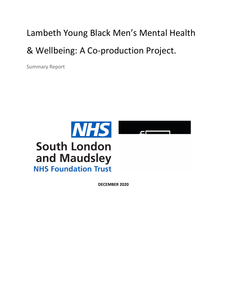# Lambeth Young Black Men's Mental Health & Wellbeing: A Co-production Project.

Summary Report



**DECEMBER 2020**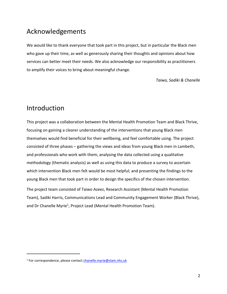# Acknowledgements

We would like to thank everyone that took part in this project, but in particular the Black men who gave up their time, as well as generously sharing their thoughts and opinions about how services can better meet their needs. We also acknowledge our responsibility as practitioners to amplify their voices to bring about meaningful change.

*Taiwo, Sadiki & Chanelle*

# Introduction

This project was a collaboration between the Mental Health Promotion Team and Black Thrive, focusing on gaining a clearer understanding of the interventions that young Black men themselves would find beneficial for their wellbeing, and feel comfortable using. The project consisted of three phases – gathering the views and ideas from young Black men in Lambeth, and professionals who work with them; analysing the data collected using a qualitative methodology (thematic analysis) as well as using this data to produce a survey to ascertain which intervention Black men felt would be most helpful; and presenting the findings to the young Black men that took part in order to design the specifics of the chosen intervention.

The project team consisted of Taiwo Azeez, Research Assistant (Mental Health Promotion Team), Sadiki Harris, Communications Lead and Community Engagement Worker (Black Thrive), and Dr Chanelle Myrie<sup>1</sup>, Project Lead (Mental Health Promotion Team).

<sup>&</sup>lt;sup>1</sup> For correspondence, please contact **chanelle.myrie@slam.nhs.uk**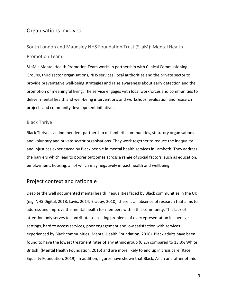# Organisations involved

# South London and Maudsley NHS Foundation Trust (SLaM): Mental Health Promotion Team

SLaM's Mental Health Promotion Team works in partnership with Clinical Commissioning Groups, third sector organisations, NHS services, local authorities and the private sector to provide preventative well-being strategies and raise awareness about early detection and the promotion of meaningful living. The service engages with local workforces and communities to deliver mental health and well-being interventions and workshops, evaluation and research projects and community development initiatives.

#### Black Thrive

Black Thrive is an independent partnership of Lambeth communities, statutory organisations and voluntary and private sector organisations. They work together to reduce the inequality and injustices experienced by Black people in mental health services in Lambeth. They address the barriers which lead to poorer outcomes across a range of social factors, such as education, employment, housing, all of which may negatively impact health and wellbeing.

### Project context and rationale

Despite the well documented mental health inequalities faced by Black communities in the UK (e.g. NHS Digital, 2018; Lavis, 2014; Bradby, 2010), there is an absence of research that aims to address and improve the mental health for members within this community. This lack of attention only serves to contribute to existing problems of overrepresentation in coercive settings, hard to access services, poor engagement and low satisfaction with services experienced by Black communities (Mental Health Foundation, 2016). Black adults have been found to have the lowest treatment rates of any ethnic group (6.2% compared to 13.3% White British) (Mental Health Foundation, 2016) and are more likely to end up in crisis care (Race Equality Foundation, 2019). In addition, figures have shown that Black, Asian and other ethnic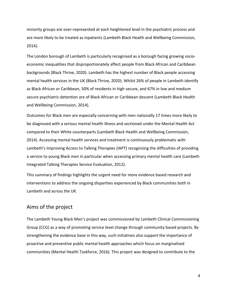minority groups are over-represented at each heightened level in the psychiatric process and are more likely to be treated as inpatients (Lambeth Black Health and Wellbeing Commission, 2014).

The London borough of Lambeth is particularly recognised as a borough facing growing socioeconomic inequalities that disproportionately affect people from Black African and Caribbean backgrounds (Black Thrive, 2020). Lambeth has the highest number of Black people accessing mental health services in the UK (Black Thrive, 2020). Whilst 26% of people in Lambeth identify as Black African or Caribbean, 50% of residents in high secure, and 67% in low and medium secure psychiatric detention are of Black African or Caribbean descent (Lambeth Black Health and Wellbeing Commission, 2014).

Outcomes for Black men are especially concerning with men nationally 17 times more likely to be diagnosed with a serious mental health illness and sectioned under the Mental Health Act compared to their White counterparts (Lambeth Black Health and Wellbeing Commission, 2014). Accessing mental health services and treatment is continuously problematic with Lambeth's Improving Access to Talking Therapies (IAPT) recognising the difficulties of providing a service to young Black men in particular when accessing primary mental health care (Lambeth Integrated Talking Therapies Service Evaluation, 2012).

This summary of findings highlights the urgent need for more evidence based research and interventions to address the ongoing disparities experienced by Black communities both in Lambeth and across the UK.

### Aims of the project

The Lambeth Young Black Men's project was commissioned by Lambeth Clinical Commissioning Group (CCG) as a way of promoting service level change through community based projects. By strengthening the evidence base in this way, such initiatives also support the importance of proactive and preventive public mental health approaches which focus on marginalised communities (Mental Health Taskforce, 2016). This project was designed to contribute to the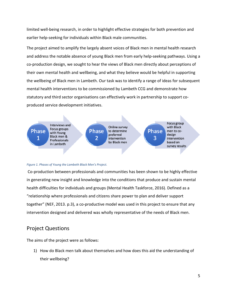limited well-being research, in order to highlight effective strategies for both prevention and earlier help-seeking for individuals within Black male communities.

The project aimed to amplify the largely absent voices of Black men in mental health research and address the notable absence of young Black men from early help-seeking pathways. Using a co-production design, we sought to hear the views of Black men directly about perceptions of their own mental health and wellbeing, and what they believe would be helpful in supporting the wellbeing of Black men in Lambeth. Our task was to identify a range of ideas for subsequent mental health interventions to be commissioned by Lambeth CCG and demonstrate how statutory and third sector organisations can effectively work in partnership to support coproduced service development initiatives.



#### *Figure 1. Phases of Young the Lambeth Black Men's Project.*

Co-production between professionals and communities has been shown to be highly effective in generating new insight and knowledge into the conditions that produce and sustain mental health difficulties for individuals and groups (Mental Health Taskforce, 2016). Defined as a "relationship where professionals and citizens share power to plan and deliver support together" (NEF, 2013. p.3), a co-productive model was used in this project to ensure that any intervention designed and delivered was wholly representative of the needs of Black men.

### Project Questions

The aims of the project were as follows:

1) How do Black men talk about themselves and how does this aid the understanding of their wellbeing?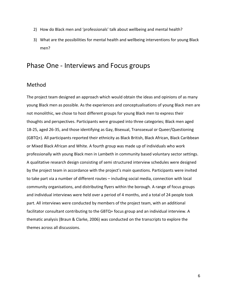- 2) How do Black men and 'professionals' talk about wellbeing and mental health?
- 3) What are the possibilities for mental health and wellbeing interventions for young Black men?

# Phase One - Interviews and Focus groups

### Method

The project team designed an approach which would obtain the ideas and opinions of as many young Black men as possible. As the experiences and conceptualisations of young Black men are not monolithic, we chose to host different groups for young Black men to express their thoughts and perspectives. Participants were grouped into three categories; Black men aged 18-25, aged 26-35, and those identifying as Gay, Bisexual, Transsexual or Queer/Questioning (GBTQ+). All participants reported their ethnicity as Black British, Black African, Black Caribbean or Mixed Black African and White. A fourth group was made up of individuals who work professionally with young Black men in Lambeth in community based voluntary sector settings. A qualitative research design consisting of semi structured interview schedules were designed by the project team in accordance with the project's main questions. Participants were invited to take part via a number of different routes – including social media, connection with local community organisations, and distributing flyers within the borough. A range of focus groups and individual interviews were held over a period of 4 months, and a total of 24 people took part. All interviews were conducted by members of the project team, with an additional facilitator consultant contributing to the GBTQ+ focus group and an individual interview. A thematic analysis (Braun & Clarke, 2006) was conducted on the transcripts to explore the themes across all discussions.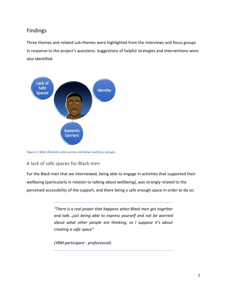# Findings

Three themes and related sub-themes were highlighted from the interviews and focus groups in response to the project's questions. Suggestions of helpful strategies and interventions were also identified.



*Figure 2. Main thematic areas across interviews and focus groups.*

### A lack of safe spaces for Black men

For the Black men that we interviewed, being able to engage in activities that supported their wellbeing (particularly in relation to talking about wellbeing), was strongly related to the perceived accessibility of the support, and there being a safe enough space in order to do so:

> *"There is a real power that happens when Black men get together and talk...just being able to express yourself and not be worried about what other people are thinking, so I suppose it's about creating a safe space"*

*(YBM participant - professional)*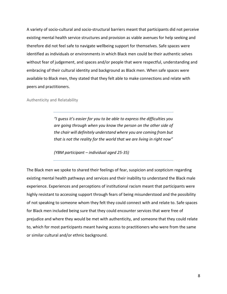A variety of socio-cultural and socio-structural barriers meant that participants did not perceive existing mental health service structures and provision as viable avenues for help seeking and therefore did not feel safe to navigate wellbeing support for themselves. Safe spaces were identified as individuals or environments in which Black men could be their authentic selves without fear of judgement, and spaces and/or people that were respectful, understanding and embracing of their cultural identity and background as Black men. When safe spaces were available to Black men, they stated that they felt able to make connections and relate with peers and practitioners.

#### Authenticity and Relatability

*"I guess it's easier for you to be able to express the difficulties you are going through when you know the person on the other side of the chair will definitely understand where you are coming from but that is not the reality for the world that we are living in right now"*

*(YBM participant – individual aged 25-35)*

The Black men we spoke to shared their feelings of fear, suspicion and scepticism regarding existing mental health pathways and services and their inability to understand the Black male experience. Experiences and perceptions of institutional racism meant that participants were highly resistant to accessing support through fears of being misunderstood and the possibility of not speaking to someone whom they felt they could connect with and relate to. Safe spaces for Black men included being sure that they could encounter services that were free of prejudice and where they would be met with authenticity, and someone that they could relate to, which for most participants meant having access to practitioners who were from the same or similar cultural and/or ethnic background.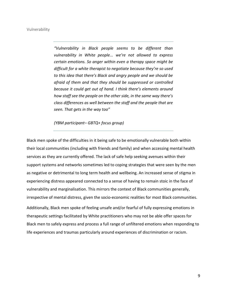Vulnerability

*"Vulnerability in Black people seems to be different than vulnerability in White people... we're not allowed to express certain emotions. So anger within even a therapy space might be difficult for a white therapist to negotiate because they're so used to this idea that there's Black and angry people and we should be afraid of them and that they should be suppressed or controlled because it could get out of hand. I think there's elements around how staff see the people on the other side, in the same way there's class differences as well between the staff and the people that are seen. That gets in the way too"*

*(YBM participant– GBTQ+ focus group)*

Black men spoke of the difficulties in it being safe to be emotionally vulnerable both within their local communities (including with friends and family) and when accessing mental health services as they are currently offered. The lack of safe help seeking avenues within their support systems and networks sometimes led to coping strategies that were seen by the men as negative or detrimental to long term health and wellbeing. An increased sense of stigma in experiencing distress appeared connected to a sense of having to remain stoic in the face of vulnerability and marginalisation. This mirrors the context of Black communities generally, irrespective of mental distress, given the socio-economic realities for most Black communities. Additionally, Black men spoke of feeling unsafe and/or fearful of fully expressing emotions in therapeutic settings facilitated by White practitioners who may not be able offer spaces for Black men to safely express and process a full range of unfiltered emotions when responding to

life experiences and traumas particularly around experiences of discrimination or racism.

9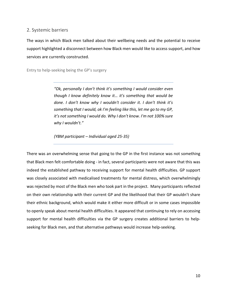### 2. Systemic barriers

The ways in which Black men talked about their wellbeing needs and the potential to receive support highlighted a disconnect between how Black men would like to access support, and how services are currently constructed.

Entry to help-seeking being the GP's surgery

*"Ok, personally I don't think it's something I would consider even though I know definitely know it… it's something that would be done. I don't know why I wouldn't consider it. I don't think it's something that I would, ok I'm feeling like this, let me go to my GP, it's not something I would do. Why I don't know. I'm not 100% sure why I wouldn't."*

*(YBM participant – Individual aged 25-35)*

There was an overwhelming sense that going to the GP in the first instance was not something that Black men felt comfortable doing - in fact, several participants were not aware that this was indeed the established pathway to receiving support for mental health difficulties. GP support was closely associated with medicalised treatments for mental distress, which overwhelmingly was rejected by most of the Black men who took part in the project. Many participants reflected on their own relationship with their current GP and the likelihood that their GP wouldn't share their ethnic background, which would make it either more difficult or in some cases impossible to openly speak about mental health difficulties. It appeared that continuing to rely on accessing support for mental health difficulties via the GP surgery creates additional barriers to helpseeking for Black men, and that alternative pathways would increase help-seeking.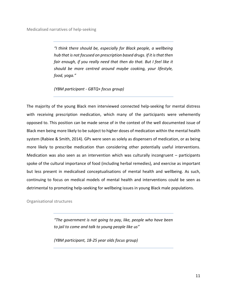Medicalised narratives of help-seeking

*"I think there should be, especially for Black people, a wellbeing hub that is not focused on prescription based drugs. If it isthat then fair enough, if you really need that then do that. But I feel like it should be more centred around maybe cooking, your lifestyle, food, yoga."*

*(YBM participant - GBTQ+ focus group)*

The majority of the young Black men interviewed connected help-seeking for mental distress with receiving prescription medication, which many of the participants were vehemently opposed to. This position can be made sense of in the context of the well documented issue of Black men being more likely to be subject to higher doses of medication within the mental health system (Rabiee & Smith, 2014). GPs were seen as solely as dispensers of medication, or as being more likely to prescribe medication than considering other potentially useful interventions. Medication was also seen as an intervention which was culturally incongruent – participants spoke of the cultural importance of food (including herbal remedies), and exercise as important but less present in medicalised conceptualisations of mental health and wellbeing. As such, continuing to focus on medical models of mental health and interventions could be seen as detrimental to promoting help-seeking for wellbeing issues in young Black male populations.

Organisational structures

*"The government is not going to pay, like, people who have been to jail to come and talk to young people like us"*

*(YBM participant, 18-25 year olds focus group)*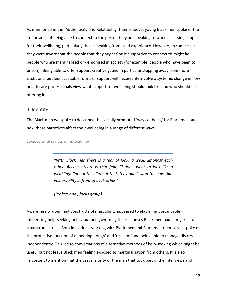As mentioned in the 'Authenticity and Relatability' theme above, young Black men spoke of the importance of being able to connect to the person they are speaking to when accessing support for their wellbeing, particularly those speaking from lived experience. However, in some cases they were aware that the people that they might find it supportive to connect to might be people who are marginalised or demonised in society (for example, people who have been to prison). Being able to offer support creatively, and in particular stepping away from more traditional but less accessible forms of support will necessarily involve a systemic change in how health care professionals view what support for wellbeing should look like and who should be offering it.

#### 3. Identity

The Black men we spoke to described the socially promoted 'ways of being' for Black men, and how these narratives affect their wellbeing in a range of different ways.

Sociocultural scripts of masculinity

*"With Black men there is a fear of looking weak amongst each other. Because there is that fear, "I don't want to look like a weakling. I'm not this, I'm not that, they don't want to show that vulnerability in front of each other."*

*(Professional, focus group)*

Awareness of dominant constructs of masculinity appeared to play an important role in influencing help-seeking behaviour and governing the responses Black men had in regards to trauma and stress. Both individuals working with Black men and Black men themselves spoke of the protective function of appearing 'tough' and 'resilient' and being able to manage distress independently. This led to conversations of alternative methods of help-seeking which might be useful but not leave Black men feeling exposed to marginalisation from others. It is also important to mention that the vast majority of the men that took part in the interviews and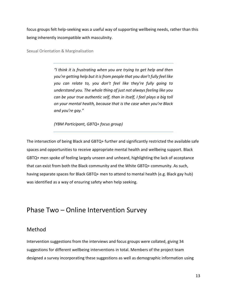focus groups felt help-seeking was a useful way of supporting wellbeing needs, rather than this being inherently incompatible with masculinity.

Sexual Orientation & Marginalisation

*"I think it is frustrating when you are trying to get help and then you're getting help but it isfrom people that you don't fully feel like you can relate to, you don't feel like they're fully going to understand you. The whole thing of just not always feeling like you can be your true authentic self, than in itself, I feel plays a big toll on your mental health, because that is the case when you're Black and you're gay."*

*(YBM Participant, GBTQ+ focus group)*

The intersection of being Black and GBTQ+ further and significantly restricted the available safe spaces and opportunities to receive appropriate mental health and wellbeing support. Black GBTQ+ men spoke of feeling largely unseen and unheard, highlighting the lack of acceptance that can exist from both the Black community and the White GBTQ+ community. As such, having separate spaces for Black GBTQ+ men to attend to mental health (e.g. Black gay hub) was identified as a way of ensuring safety when help seeking.

# Phase Two – Online Intervention Survey

### Method

Intervention suggestions from the interviews and focus groups were collated, giving 34 suggestions for different wellbeing interventions in total. Members of the project team designed a survey incorporating these suggestions as well as demographic information using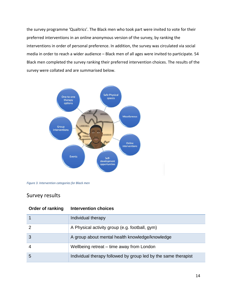the survey programme 'Qualtrics'. The Black men who took part were invited to vote for their preferred interventions in an online anonymous version of the survey, by ranking the interventions in order of personal preference. In addition, the survey was circulated via social media in order to reach a wider audience – Black men of all ages were invited to participate. 54 Black men completed the survey ranking their preferred intervention choices. The results of the survey were collated and are summarised below.



*Figure 3. Intervention categories for Black men*

### Survey results

| Order of ranking | <b>Intervention choices</b>                                    |
|------------------|----------------------------------------------------------------|
|                  | Individual therapy                                             |
|                  | A Physical activity group (e.g. football, gym)                 |
| 3                | A group about mental health knowledge/knowledge                |
|                  | Wellbeing retreat – time away from London                      |
| 5                | Individual therapy followed by group led by the same therapist |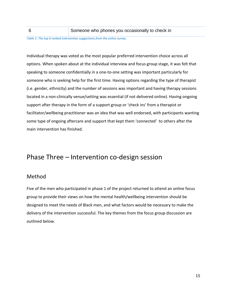#### 6 Someone who phones you occasionally to check in

*Table 1: The top 6 ranked intervention suggestions from the online survey.*

Individual therapy was voted as the most popular preferred intervention choice across all options. When spoken about at the individual interview and focus group stage, it was felt that speaking to someone confidentially in a one-to-one setting was important particularly for someone who is seeking help for the first time. Having options regarding the type of therapist (i.e. gender, ethnicity) and the number of sessions was important and having therapy sessions located in a non-clinically venue/setting was essential (if not delivered online). Having ongoing support after therapy in the form of a support group or 'check ins' from a therapist or facilitator/wellbeing practitioner was an idea that was well endorsed, with participants wanting some type of ongoing aftercare and support that kept them 'connected' to others after the main intervention has finished.

# Phase Three – Intervention co-design session

### Method

Five of the men who participated in phase 1 of the project returned to attend an online focus group to provide their views on how the mental health/wellbeing intervention should be designed to meet the needs of Black men, and what factors would be necessary to make the delivery of the intervention successful. The key themes from the focus group discussion are outlined below.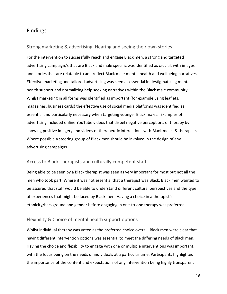### Findings

#### Strong marketing & advertising: Hearing and seeing their own stories

For the intervention to successfully reach and engage Black men, a strong and targeted advertising campaign/s that are Black and male specific was identified as crucial, with images and stories that are relatable to and reflect Black male mental health and wellbeing narratives. Effective marketing and tailored advertising was seen as essential in destigmatizing mental health support and normalizing help seeking narratives within the Black male community. Whilst marketing in all forms was identified as important (for example using leaflets, magazines, business cards) the effective use of social media platforms was identified as essential and particularly necessary when targeting younger Black males. Examples of advertising included online YouTube videos that dispel negative perceptions of therapy by showing positive imagery and videos of therapeutic interactions with Black males & therapists. Where possible a steering group of Black men should be involved in the design of any advertising campaigns.

#### Access to Black Therapists and culturally competent staff

Being able to be seen by a Black therapist was seen as very important for most but not all the men who took part. Where it was not essential that a therapist was Black, Black men wanted to be assured that staff would be able to understand different cultural perspectives and the type of experiences that might be faced by Black men. Having a choice in a therapist's ethnicity/background and gender before engaging in one-to-one therapy was preferred.

#### Flexibility & Choice of mental health support options

Whilst individual therapy was voted as the preferred choice overall, Black men were clear that having different intervention options was essential to meet the differing needs of Black men. Having the choice and flexibility to engage with one or multiple interventions was important, with the focus being on the needs of individuals at a particular time. Participants highlighted the importance of the content and expectations of any intervention being highly transparent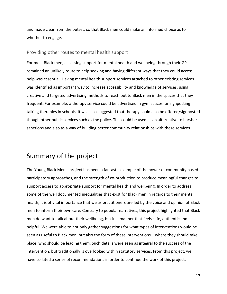and made clear from the outset, so that Black men could make an informed choice as to whether to engage.

#### Providing other routes to mental health support

For most Black men, accessing support for mental health and wellbeing through their GP remained an unlikely route to help seeking and having different ways that they could access help was essential. Having mental health support services attached to other existing services was identified as important way to increase accessibility and knowledge of services, using creative and targeted advertising methods to reach out to Black men in the spaces that they frequent. For example, a therapy service could be advertised in gym spaces, or signposting talking therapies in schools. It was also suggested that therapy could also be offered/signposted though other public services such as the police. This could be used as an alternative to harsher sanctions and also as a way of building better community relationships with these services.

# Summary of the project

The Young Black Men's project has been a fantastic example of the power of community based participatory approaches, and the strength of co-production to produce meaningful changes to support access to appropriate support for mental health and wellbeing. In order to address some of the well documented inequalities that exist for Black men in regards to their mental health, it is of vital importance that we as practitioners are led by the voice and opinion of Black men to inform their own care. Contrary to popular narratives, this project highlighted that Black men do want to talk about their wellbeing, but in a manner that feels safe, authentic and helpful. We were able to not only gather suggestions for what types of interventions would be seen as useful to Black men, but also the form of these interventions – where they should take place, who should be leading them. Such details were seen as integral to the success of the intervention, but traditionally is overlooked within statutory services. From this project, we have collated a series of recommendations in order to continue the work of this project.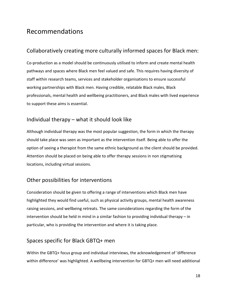# Recommendations

# Collaboratively creating more culturally informed spaces for Black men:

Co-production as a model should be continuously utilised to inform and create mental health pathways and spaces where Black men feel valued and safe. This requires having diversity of staff within research teams, services and stakeholder organisations to ensure successful working partnerships with Black men. Having credible, relatable Black males, Black professionals, mental health and wellbeing practitioners, and Black males with lived experience to support these aims is essential.

# Individual therapy – what it should look like

Although individual therapy was the most popular suggestion, the form in which the therapy should take place was seen as important as the intervention itself. Being able to offer the option of seeing a therapist from the same ethnic background as the client should be provided. Attention should be placed on being able to offer therapy sessions in non stigmatising locations, including virtual sessions.

# Other possibilities for interventions

Consideration should be given to offering a range of interventions which Black men have highlighted they would find useful, such as physical activity groups, mental health awareness raising sessions, and wellbeing retreats. The same considerations regarding the form of the intervention should be held in mind in a similar fashion to providing individual therapy – in particular, who is providing the intervention and where it is taking place.

# Spaces specific for Black GBTQ+ men

Within the GBTQ+ focus group and individual interviews, the acknowledgement of 'difference within difference' was highlighted. A wellbeing intervention for GBTQ+ men will need additional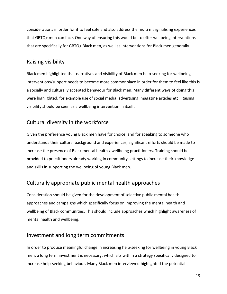considerations in order for it to feel safe and also address the multi marginalising experiences that GBTQ+ men can face. One way of ensuring this would be to offer wellbeing interventions that are specifically for GBTQ+ Black men, as well as interventions for Black men generally.

# Raising visibility

Black men highlighted that narratives and visibility of Black men help-seeking for wellbeing interventions/support needs to become more commonplace in order for them to feel like this is a socially and culturally accepted behaviour for Black men. Many different ways of doing this were highlighted, for example use of social media, advertising, magazine articles etc. Raising visibility should be seen as a wellbeing intervention in itself.

# Cultural diversity in the workforce

Given the preference young Black men have for choice, and for speaking to someone who understands their cultural background and experiences, significant efforts should be made to increase the presence of Black mental health / wellbeing practitioners. Training should be provided to practitioners already working in community settings to increase their knowledge and skills in supporting the wellbeing of young Black men.

# Culturally appropriate public mental health approaches

Consideration should be given for the development of selective public mental health approaches and campaigns which specifically focus on improving the mental health and wellbeing of Black communities. This should include approaches which highlight awareness of mental health and wellbeing.

# Investment and long term commitments

In order to produce meaningful change in increasing help-seeking for wellbeing in young Black men, a long term investment is necessary, which sits within a strategy specifically designed to increase help-seeking behaviour. Many Black men interviewed highlighted the potential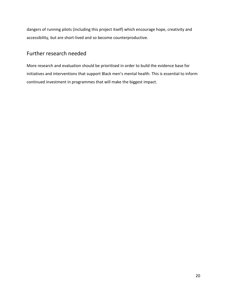dangers of running pilots (including this project itself) which encourage hope, creativity and accessibility, but are short-lived and so become counterproductive.

# Further research needed

More research and evaluation should be prioritised in order to build the evidence base for initiatives and interventions that support Black men's mental health. This is essential to inform continued investment in programmes that will make the biggest impact.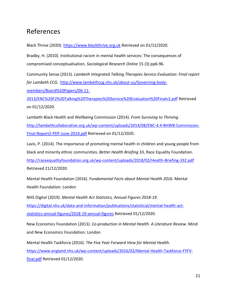# References

Black Thrive (2020). [https://www.blackthrive.org.uk](https://www.blackthrive.org.uk/) Retrieved on 01/12/2020.

Bradby, H. (2010). Institutional racism in mental health services: The consequences of compromised conceptualisation. *Sociological Research Online* 15 (3) pp6-96.

Community Sense (2013). *Lambeth Integrated Talking Therapies Service Evaluation: Final report for Lambeth CCG*. [http://www.lambethccg.nhs.uk/about-us/Governing-body](http://www.lambethccg.nhs.uk/about-us/Governing-body-members/Board%20Papers/06-11-2013/ENC%20F2%20Talking%20Therapies%20Service%20Evaluation%20Finalv2.pdf)[members/Board%20Papers/06-11-](http://www.lambethccg.nhs.uk/about-us/Governing-body-members/Board%20Papers/06-11-2013/ENC%20F2%20Talking%20Therapies%20Service%20Evaluation%20Finalv2.pdf)

[2013/ENC%20F2%20Talking%20Therapies%20Service%20Evaluation%20Finalv2.pdf](http://www.lambethccg.nhs.uk/about-us/Governing-body-members/Board%20Papers/06-11-2013/ENC%20F2%20Talking%20Therapies%20Service%20Evaluation%20Finalv2.pdf) Retrieved on 01/12/2020.

Lambeth Black Health and Wellbeing Commission (2014). *From Surviving to Thriving*. [http://lambethcollaborative.org.uk/wp-content/uploads/2014/08/ENC-4.4-BHWB-Commission-](http://lambethcollaborative.org.uk/wp-content/uploads/2014/08/ENC-4.4-BHWB-Commission-Final-Report2-PDF-June-2014.pdf)[Final-Report2-PDF-June-2014.pdf](http://lambethcollaborative.org.uk/wp-content/uploads/2014/08/ENC-4.4-BHWB-Commission-Final-Report2-PDF-June-2014.pdf) Retrieved on 01/12/2020.

Lavis, P. (2014). The importance of promoting mental health in children and young people from black and minority ethnic communities. *Better Health Briefing* 33, Race Equality Foundation. <http://raceequalityfoundation.org.uk/wp-content/uploads/2018/02/Health-Briefing-332.pdf> Retrieved 21/12/2020.

Mental Health Foundation (2016). *Fundamental Facts about Mental Health 2016.* Mental Health Foundation: London

NHS Digital (2019). *Mental Health Act Statistics, Annual Figures 2018-19*. [https://digital.nhs.uk/data-and-information/publications/statistical/mental-health-act](https://digital.nhs.uk/data-and-information/publications/statistical/mental-health-act-statistics-annual-figures/2018-19-annual-figures)[statistics-annual-figures/2018-19-annual-figures](https://digital.nhs.uk/data-and-information/publications/statistical/mental-health-act-statistics-annual-figures/2018-19-annual-figures) Retrieved 01/12/2020.

New Economics Foundation (2013). *Co-production in Mental Health. A Literature Review.* Mind and New Economics Foundation: London

Mental Health Taskforce (2016). *The Five Year Forward View for Mental Health.* [https://www.england.nhs.uk/wp-content/uploads/2016/02/Mental-Health-Taskforce-FYFV](https://www.england.nhs.uk/wp-content/uploads/2016/02/Mental-Health-Taskforce-FYFV-final.pdf)[final.pdf](https://www.england.nhs.uk/wp-content/uploads/2016/02/Mental-Health-Taskforce-FYFV-final.pdf) Retrieved 01/12/2020.